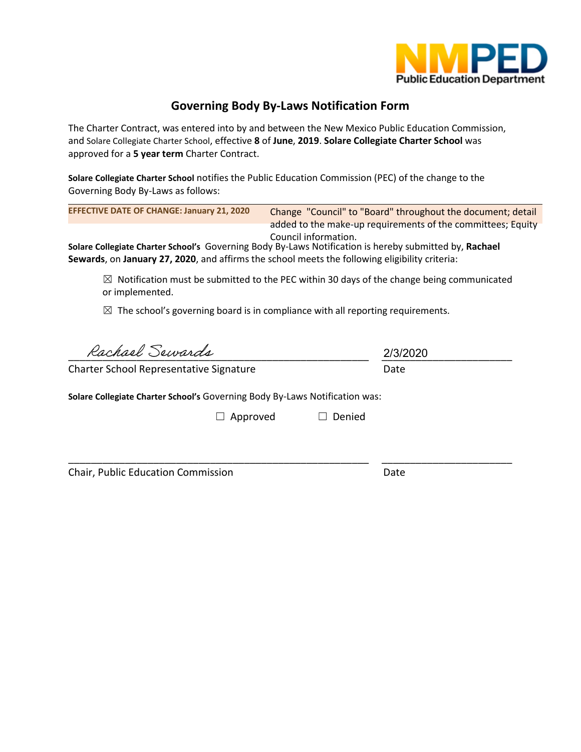

# **Governing Body By-Laws Notification Form**

The Charter Contract, was entered into by and between the New Mexico Public Education Commission, and Solare Collegiate Charter School, effective **8** of **June**, **2019**. **Solare Collegiate Charter School** was approved for a **5 year term** Charter Contract.

**Solare Collegiate Charter School** notifies the Public Education Commission (PEC) of the change to the Governing Body By-Laws as follows:

| <b>EFFECTIVE DATE OF CHANGE: January 21, 2020</b>                                                                                                                                                                                |        | Change "Council" to "Board" throughout the document; detail<br>added to the make-up requirements of the committees; Equity |
|----------------------------------------------------------------------------------------------------------------------------------------------------------------------------------------------------------------------------------|--------|----------------------------------------------------------------------------------------------------------------------------|
| Council information.<br>Solare Collegiate Charter School's Governing Body By-Laws Notification is hereby submitted by, Rachael<br>Sewards, on January 27, 2020, and affirms the school meets the following eligibility criteria: |        |                                                                                                                            |
| Notification must be submitted to the PEC within 30 days of the change being communicated<br>$\boxtimes$<br>or implemented.                                                                                                      |        |                                                                                                                            |
| The school's governing board is in compliance with all reporting requirements.<br>$\boxtimes$                                                                                                                                    |        |                                                                                                                            |
| Rachael Sewards                                                                                                                                                                                                                  |        | 2/3/2020                                                                                                                   |
| Charter School Representative Signature                                                                                                                                                                                          |        | Date                                                                                                                       |
| Solare Collegiate Charter School's Governing Body By-Laws Notification was:                                                                                                                                                      |        |                                                                                                                            |
| Approved                                                                                                                                                                                                                         | Denied |                                                                                                                            |
|                                                                                                                                                                                                                                  |        |                                                                                                                            |

Chair, Public Education Commission Date

\_\_\_\_\_\_\_\_\_\_\_\_\_\_\_\_\_\_\_\_\_\_\_\_\_\_\_\_\_\_\_\_\_\_\_\_\_\_\_\_\_\_\_\_\_\_\_\_\_\_\_\_\_ \_\_\_\_\_\_\_\_\_\_\_\_\_\_\_\_\_\_\_\_\_\_\_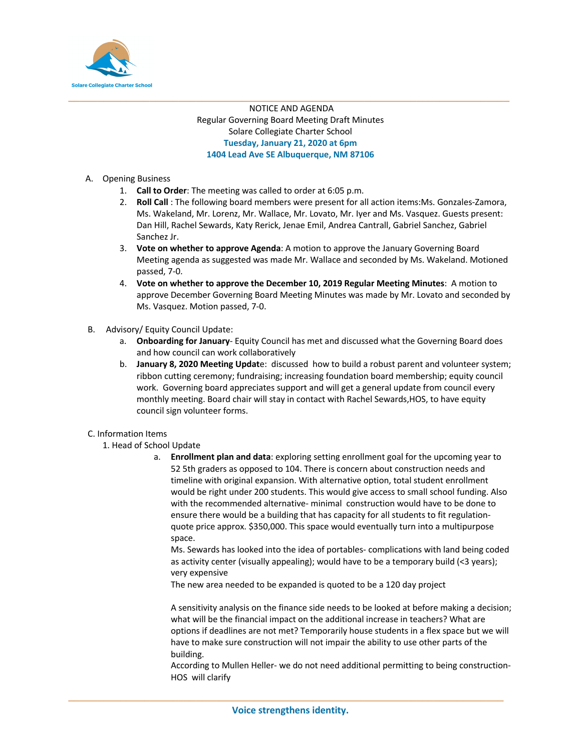

#### **\_\_\_\_\_\_\_\_\_\_\_\_\_\_\_\_\_\_\_\_\_\_\_\_\_\_\_\_\_\_\_\_\_\_\_\_\_\_\_\_\_\_\_\_\_\_\_\_\_\_\_\_\_\_\_\_\_\_\_\_\_\_\_\_\_\_\_\_\_\_\_\_\_\_\_\_** NOTICE AND AGENDA Regular Governing Board Meeting Draft Minutes Solare Collegiate Charter School **Tuesday, January 21, 2020 at 6pm 1404 Lead Ave SE Albuquerque, NM 87106**

- A. Opening Business
	- 1. **Call to Order**: The meeting was called to order at 6:05 p.m.
	- 2. **Roll Call** : The following board members were present for all action items:Ms. Gonzales-Zamora, Ms. Wakeland, Mr. Lorenz, Mr. Wallace, Mr. Lovato, Mr. Iyer and Ms. Vasquez. Guests present: Dan Hill, Rachel Sewards, Katy Rerick, Jenae Emil, Andrea Cantrall, Gabriel Sanchez, Gabriel Sanchez Jr.
	- 3. **Vote on whether to approve Agenda**: A motion to approve the January Governing Board Meeting agenda as suggested was made Mr. Wallace and seconded by Ms. Wakeland. Motioned passed, 7-0.
	- 4. **Vote on whether to approve the December 10, 2019 Regular Meeting Minutes**: A motion to approve December Governing Board Meeting Minutes was made by Mr. Lovato and seconded by Ms. Vasquez. Motion passed, 7-0.
- B. Advisory/ Equity Council Update:
	- a. **Onboarding for January** Equity Council has met and discussed what the Governing Board does and how council can work collaboratively
	- b. **January 8, 2020 Meeting Updat**e: discussed how to build a robust parent and volunteer system; ribbon cutting ceremony; fundraising; increasing foundation board membership; equity council work. Governing board appreciates support and will get a general update from council every monthly meeting. Board chair will stay in contact with Rachel Sewards,HOS, to have equity council sign volunteer forms.

#### C. Information Items

- 1. Head of School Update
	- a. **Enrollment plan and data**: exploring setting enrollment goal for the upcoming year to 52 5th graders as opposed to 104. There is concern about construction needs and timeline with original expansion. With alternative option, total student enrollment would be right under 200 students. This would give access to small school funding. Also with the recommended alternative- minimal construction would have to be done to ensure there would be a building that has capacity for all students to fit regulationquote price approx. \$350,000. This space would eventually turn into a multipurpose space.

Ms. Sewards has looked into the idea of portables- complications with land being coded as activity center (visually appealing); would have to be a temporary build (<3 years); very expensive

The new area needed to be expanded is quoted to be a 120 day project

A sensitivity analysis on the finance side needs to be looked at before making a decision; what will be the financial impact on the additional increase in teachers? What are options if deadlines are not met? Temporarily house students in a flex space but we will have to make sure construction will not impair the ability to use other parts of the building.

According to Mullen Heller- we do not need additional permitting to being construction-HOS will clarify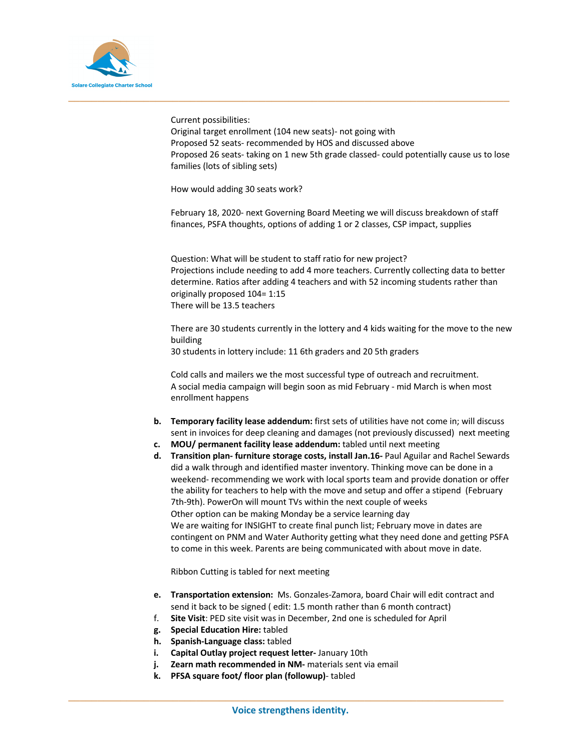

Current possibilities:

Original target enrollment (104 new seats)- not going with Proposed 52 seats- recommended by HOS and discussed above Proposed 26 seats- taking on 1 new 5th grade classed- could potentially cause us to lose families (lots of sibling sets)

How would adding 30 seats work?

February 18, 2020- next Governing Board Meeting we will discuss breakdown of staff finances, PSFA thoughts, options of adding 1 or 2 classes, CSP impact, supplies

Question: What will be student to staff ratio for new project? Projections include needing to add 4 more teachers. Currently collecting data to better determine. Ratios after adding 4 teachers and with 52 incoming students rather than originally proposed 104= 1:15 There will be 13.5 teachers

There are 30 students currently in the lottery and 4 kids waiting for the move to the new building

30 students in lottery include: 11 6th graders and 20 5th graders

**\_\_\_\_\_\_\_\_\_\_\_\_\_\_\_\_\_\_\_\_\_\_\_\_\_\_\_\_\_\_\_\_\_\_\_\_\_\_\_\_\_\_\_\_\_\_\_\_\_\_\_\_\_\_\_\_\_\_\_\_\_\_\_\_\_\_\_\_\_\_\_\_\_\_\_\_**

Cold calls and mailers we the most successful type of outreach and recruitment. A social media campaign will begin soon as mid February - mid March is when most enrollment happens

- **b. Temporary facility lease addendum:** first sets of utilities have not come in; will discuss sent in invoices for deep cleaning and damages (not previously discussed) next meeting
- **c. MOU/ permanent facility lease addendum:** tabled until next meeting
- **d. Transition plan- furniture storage costs, install Jan.16-** Paul Aguilar and Rachel Sewards did a walk through and identified master inventory. Thinking move can be done in a weekend- recommending we work with local sports team and provide donation or offer the ability for teachers to help with the move and setup and offer a stipend (February 7th-9th). PowerOn will mount TVs within the next couple of weeks Other option can be making Monday be a service learning day We are waiting for INSIGHT to create final punch list; February move in dates are contingent on PNM and Water Authority getting what they need done and getting PSFA to come in this week. Parents are being communicated with about move in date.

Ribbon Cutting is tabled for next meeting

- **e. Transportation extension:** Ms. Gonzales-Zamora, board Chair will edit contract and send it back to be signed ( edit: 1.5 month rather than 6 month contract)
- f. **Site Visit**: PED site visit was in December, 2nd one is scheduled for April
- **g. Special Education Hire:** tabled
- **h. Spanish-Language class:** tabled
- **i. Capital Outlay project request letter-** January 10th
- **j. Zearn math recommended in NM-** materials sent via email
- **k. PFSA square foot/ floor plan (followup)** tabled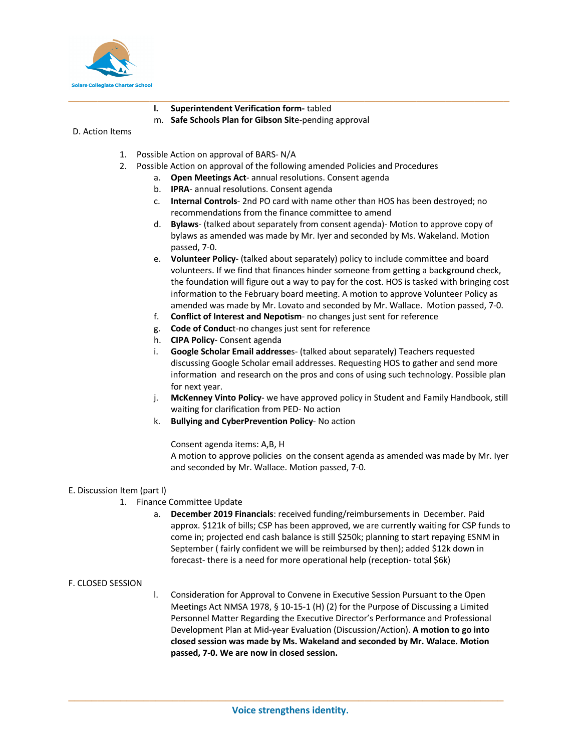

- **l. Superintendent Verification form-** tabled
- m. **Safe Schools Plan for Gibson Sit**e-pending approval

#### D. Action Items

- 1. Possible Action on approval of BARS- N/A
- 2. Possible Action on approval of the following amended Policies and Procedures

**\_\_\_\_\_\_\_\_\_\_\_\_\_\_\_\_\_\_\_\_\_\_\_\_\_\_\_\_\_\_\_\_\_\_\_\_\_\_\_\_\_\_\_\_\_\_\_\_\_\_\_\_\_\_\_\_\_\_\_\_\_\_\_\_\_\_\_\_\_\_\_\_\_\_\_\_**

- a. **Open Meetings Act** annual resolutions. Consent agenda
- b. **IPRA** annual resolutions. Consent agenda
- c. **Internal Controls** 2nd PO card with name other than HOS has been destroyed; no recommendations from the finance committee to amend
- d. **Bylaws** (talked about separately from consent agenda)- Motion to approve copy of bylaws as amended was made by Mr. Iyer and seconded by Ms. Wakeland. Motion passed, 7-0.
- e. **Volunteer Policy** (talked about separately) policy to include committee and board volunteers. If we find that finances hinder someone from getting a background check, the foundation will figure out a way to pay for the cost. HOS is tasked with bringing cost information to the February board meeting. A motion to approve Volunteer Policy as amended was made by Mr. Lovato and seconded by Mr. Wallace. Motion passed, 7-0.
- f. **Conflict of Interest and Nepotism** no changes just sent for reference
- g. **Code of Conduc**t-no changes just sent for reference
- h. **CIPA Policy** Consent agenda
- i. **Google Scholar Email addresse**s- (talked about separately) Teachers requested discussing Google Scholar email addresses. Requesting HOS to gather and send more information and research on the pros and cons of using such technology. Possible plan for next year.
- j. **McKenney Vinto Policy** we have approved policy in Student and Family Handbook, still waiting for clarification from PED- No action
- k. **Bullying and CyberPrevention Policy** No action

Consent agenda items: A,B, H

A motion to approve policies on the consent agenda as amended was made by Mr. Iyer and seconded by Mr. Wallace. Motion passed, 7-0.

#### E. Discussion Item (part I)

- 1. Finance Committee Update
	- a. **December 2019 Financials**: received funding/reimbursements in December. Paid approx. \$121k of bills; CSP has been approved, we are currently waiting for CSP funds to come in; projected end cash balance is still \$250k; planning to start repaying ESNM in September ( fairly confident we will be reimbursed by then); added \$12k down in forecast- there is a need for more operational help (reception- total \$6k)

#### F. CLOSED SESSION

l. Consideration for Approval to Convene in Executive Session Pursuant to the Open Meetings Act NMSA 1978, § 10-15-1 (H) (2) for the Purpose of Discussing a Limited Personnel Matter Regarding the Executive Director's Performance and Professional Development Plan at Mid-year Evaluation (Discussion/Action). **A motion to go into closed session was made by Ms. Wakeland and seconded by Mr. Walace. Motion passed, 7-0. We are now in closed session.**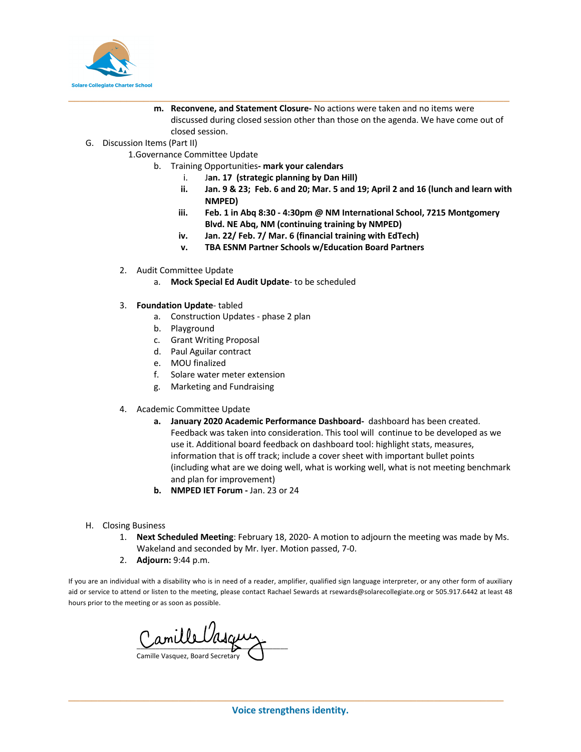

- **m. Reconvene, and Statement Closure-** No actions were taken and no items were discussed during closed session other than those on the agenda. We have come out of closed session.
- G. Discussion Items (Part II)
	- 1.Governance Committee Update
		- b. Training Opportunities**- mark your calendars**
			- i. J**an. 17 (strategic planning by Dan Hill)**

**\_\_\_\_\_\_\_\_\_\_\_\_\_\_\_\_\_\_\_\_\_\_\_\_\_\_\_\_\_\_\_\_\_\_\_\_\_\_\_\_\_\_\_\_\_\_\_\_\_\_\_\_\_\_\_\_\_\_\_\_\_\_\_\_\_\_\_\_\_\_\_\_\_\_\_\_**

- **ii. Jan. 9 & 23; Feb. 6 and 20; Mar. 5 and 19; April 2 and 16 (lunch and learn with NMPED)**
- **iii. Feb. 1 in Abq 8:30 - 4:30pm @ NM International School, 7215 Montgomery Blvd. NE Abq, NM (continuing training by NMPED)**
- **iv. Jan. 22/ Feb. 7/ Mar. 6 (financial training with EdTech)**
- **v. TBA ESNM Partner Schools w/Education Board Partners**
- 2. Audit Committee Update
	- a. **Mock Special Ed Audit Update** to be scheduled
- 3. **Foundation Update** tabled
	- a. Construction Updates phase 2 plan
	- b. Playground
	- c. Grant Writing Proposal
	- d. Paul Aguilar contract
	- e. MOU finalized
	- f. Solare water meter extension
	- g. Marketing and Fundraising
- 4. Academic Committee Update
	- **a. January 2020 Academic Performance Dashboard-** dashboard has been created. Feedback was taken into consideration. This tool will continue to be developed as we use it. Additional board feedback on dashboard tool: highlight stats, measures, information that is off track; include a cover sheet with important bullet points (including what are we doing well, what is working well, what is not meeting benchmark and plan for improvement)
	- **b. NMPED IET Forum -** Jan. 23 or 24
- H. Closing Business
	- 1. **Next Scheduled Meeting**: February 18, 2020- A motion to adjourn the meeting was made by Ms. Wakeland and seconded by Mr. Iyer. Motion passed, 7-0.
	- 2. **Adjourn:** 9:44 p.m.

If you are an individual with a disability who is in need of a reader, amplifier, qualified sign language interpreter, or any other form of auxiliary aid or service to attend or listen to the meeting, please contact Rachael Sewards at rsewards@solarecollegiate.org or 505.917.6442 at least 48 hours prior to the meeting or as soon as possible.

Camille Vasqu Camille Vasquez, Board Secretary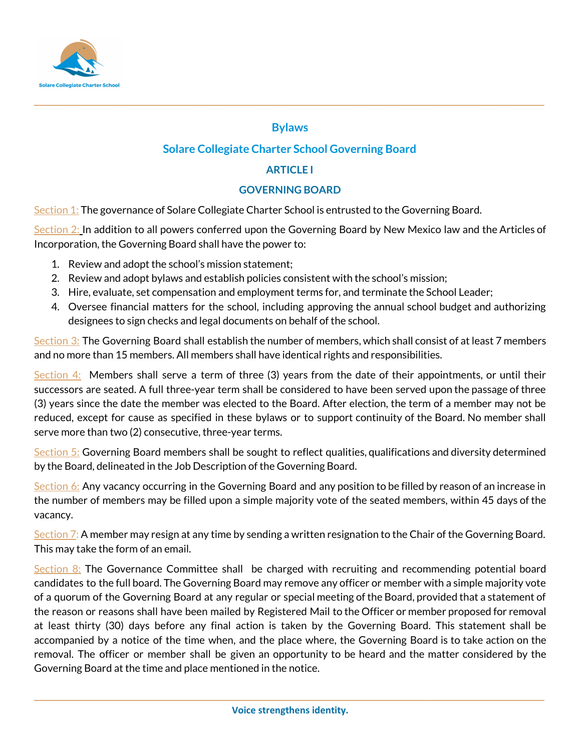

### **Bylaws**

**\_\_\_\_\_\_\_\_\_\_\_\_\_\_\_\_\_\_\_\_\_\_\_\_\_\_\_\_\_\_\_\_\_\_\_\_\_\_\_\_\_\_\_\_\_\_\_\_\_\_\_\_\_\_\_\_\_\_\_\_\_\_\_\_\_\_\_\_\_\_\_\_\_\_\_\_\_\_\_\_\_\_\_\_\_\_\_\_**

# **Solare Collegiate Charter School Governing Board**

# **ARTICLE I**

# **GOVERNING BOARD**

Section 1: The governance of Solare Collegiate Charter School is entrusted to the Governing Board.

Section 2: In addition to all powers conferred upon the Governing Board by New Mexico law and the Articles of Incorporation, the Governing Board shall have the power to:

- 1. Review and adopt the school's mission statement;
- 2. Review and adopt bylaws and establish policies consistent with the school's mission;
- 3. Hire, evaluate, set compensation and employment terms for, and terminate the School Leader;
- 4. Oversee financial matters for the school, including approving the annual school budget and authorizing designees to sign checks and legal documents on behalf of the school.

Section 3: The Governing Board shall establish the number of members, which shall consist of at least 7 members and no more than 15 members. All members shall have identical rights and responsibilities.

Section  $4$ : Members shall serve a term of three (3) years from the date of their appointments, or until their successors are seated. A full three-year term shall be considered to have been served upon the passage of three (3) years since the date the member was elected to the Board. After election, the term of a member may not be reduced, except for cause as specified in these bylaws or to support continuity of the Board. No member shall serve more than two (2) consecutive, three-year terms.

Section 5: Governing Board members shall be sought to reflect qualities, qualifications and diversity determined by the Board, delineated in the Job Description of the Governing Board.

Section 6: Any vacancy occurring in the Governing Board and any position to be filled by reason of an increase in the number of members may be filled upon a simple majority vote of the seated members, within 45 days of the vacancy.

Section 7: A member may resign at any time by sending a written resignation to the Chair of the Governing Board. This may take the form of an email.

Section  $8$ : The Governance Committee shall be charged with recruiting and recommending potential board candidates to the full board. The Governing Board may remove any officer or member with a simple majority vote of a quorum of the Governing Board at any regular or special meeting of the Board, provided that a statement of the reason or reasons shall have been mailed by Registered Mail to the Officer or member proposed for removal at least thirty (30) days before any final action is taken by the Governing Board. This statement shall be accompanied by a notice of the time when, and the place where, the Governing Board is to take action on the removal. The officer or member shall be given an opportunity to be heard and the matter considered by the Governing Board at the time and place mentioned in the notice.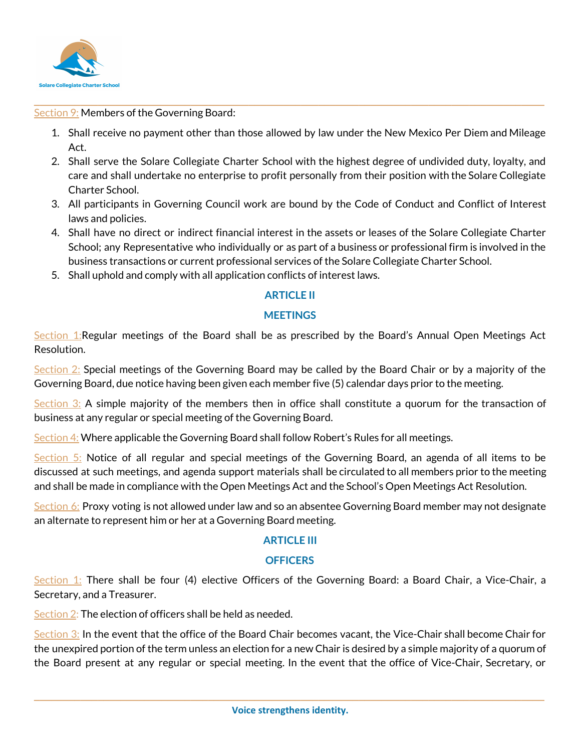

Section 9: Members of the Governing Board:

1. Shall receive no payment other than those allowed by law under the New Mexico Per Diem and Mileage Act.

**\_\_\_\_\_\_\_\_\_\_\_\_\_\_\_\_\_\_\_\_\_\_\_\_\_\_\_\_\_\_\_\_\_\_\_\_\_\_\_\_\_\_\_\_\_\_\_\_\_\_\_\_\_\_\_\_\_\_\_\_\_\_\_\_\_\_\_\_\_\_\_\_\_\_\_\_\_\_\_\_\_\_\_\_\_\_\_\_**

- 2. Shall serve the Solare Collegiate Charter School with the highest degree of undivided duty, loyalty, and care and shall undertake no enterprise to profit personally from their position with the Solare Collegiate Charter School.
- 3. All participants in Governing Council work are bound by the Code of Conduct and Conflict of Interest laws and policies.
- 4. Shall have no direct or indirect financial interest in the assets or leases of the Solare Collegiate Charter School; any Representative who individually or as part of a business or professional firm is involved in the business transactions or current professional services of the Solare Collegiate Charter School.
- 5. Shall uphold and comply with all application conflicts of interest laws.

## **ARTICLE II**

### **MEETINGS**

Section 1:Regular meetings of the Board shall be as prescribed by the Board's Annual Open Meetings Act Resolution.

Section 2: Special meetings of the Governing Board may be called by the Board Chair or by a majority of the Governing Board, due notice having been given each member five (5) calendar days prior to the meeting.

Section 3: A simple majority of the members then in office shall constitute a quorum for the transaction of business at any regular or special meeting of the Governing Board.

Section 4: Where applicable the Governing Board shall follow Robert's Rules for all meetings.

Section 5: Notice of all regular and special meetings of the Governing Board, an agenda of all items to be discussed at such meetings, and agenda support materials shall be circulated to all members prior to the meeting and shall be made in compliance with the Open Meetings Act and the School's Open Meetings Act Resolution.

Section 6: Proxy voting is not allowed under law and so an absentee Governing Board member may not designate an alternate to represent him or her at a Governing Board meeting.

### **ARTICLE III**

### **OFFICERS**

Section 1: There shall be four (4) elective Officers of the Governing Board: a Board Chair, a Vice-Chair, a Secretary, and a Treasurer.

Section 2: The election of officers shall be held as needed.

Section 3: In the event that the office of the Board Chair becomes vacant, the Vice-Chair shall become Chair for the unexpired portion of the term unless an election for a new Chair is desired by a simple majority of a quorum of the Board present at any regular or special meeting. In the event that the office of Vice-Chair, Secretary, or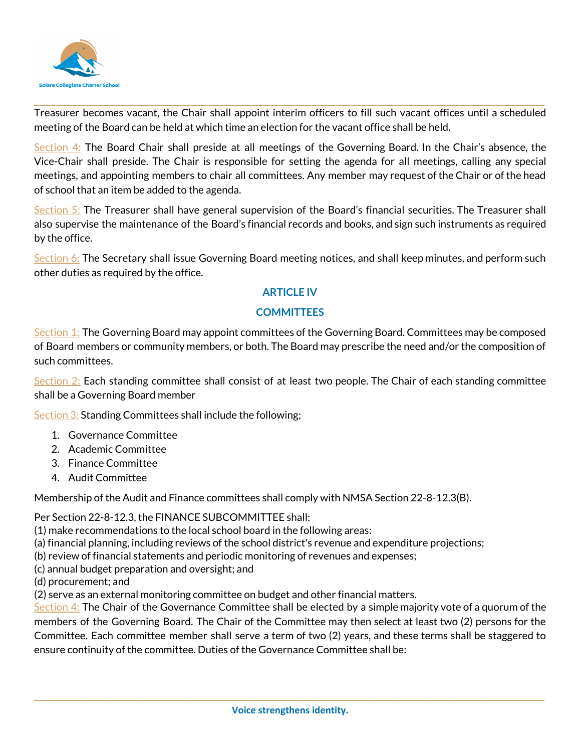

Treasurer becomes vacant, the Chair shall appoint interim officers to fill such vacant offices until a scheduled meeting of the Board can be held at which time an election for the vacant office shall be held.

**\_\_\_\_\_\_\_\_\_\_\_\_\_\_\_\_\_\_\_\_\_\_\_\_\_\_\_\_\_\_\_\_\_\_\_\_\_\_\_\_\_\_\_\_\_\_\_\_\_\_\_\_\_\_\_\_\_\_\_\_\_\_\_\_\_\_\_\_\_\_\_\_\_\_\_\_\_\_\_\_\_\_\_\_\_\_\_\_**

Section 4: The Board Chair shall preside at all meetings of the Governing Board. In the Chair's absence, the Vice-Chair shall preside. The Chair is responsible for setting the agenda for all meetings, calling any special meetings, and appointing members to chair all committees. Any member may request of the Chair or of the head of school that an item be added to the agenda.

Section 5: The Treasurer shall have general supervision of the Board's financial securities. The Treasurer shall also supervise the maintenance of the Board's financial records and books, and sign such instruments as required by the office.

Section 6: The Secretary shall issue Governing Board meeting notices, and shall keep minutes, and perform such other duties as required by the office.

## **ARTICLE IV**

## **COMMITTEES**

Section 1: The Governing Board may appoint committees of the Governing Board. Committees may be composed of Board members or community members, or both. The Board may prescribe the need and/or the composition of such committees.

Section 2: Each standing committee shall consist of at least two people. The Chair of each standing committee shall be a Governing Board member

Section 3: Standing Committees shall include the following;

- 1. Governance Committee
- 2. Academic Committee
- 3. Finance Committee
- 4. Audit Committee

Membership of the Audit and Finance committees shall comply with NMSA Section 22-8-12.3(B).

Per Section 22-8-12.3, the FINANCE SUBCOMMITTEE shall:

(1) make recommendations to the local school board in the following areas:

- (a) financial planning, including reviews of the school district's revenue and expenditure projections;
- (b) review of financial statements and periodic monitoring of revenues and expenses;
- (c) annual budget preparation and oversight; and
- (d) procurement; and

(2) serve as an external monitoring committee on budget and other financial matters.

Section  $4$ : The Chair of the Governance Committee shall be elected by a simple majority vote of a quorum of the members of the Governing Board. The Chair of the Committee may then select at least two (2) persons for the Committee. Each committee member shall serve a term of two (2) years, and these terms shall be staggered to ensure continuity of the committee. Duties of the Governance Committee shall be: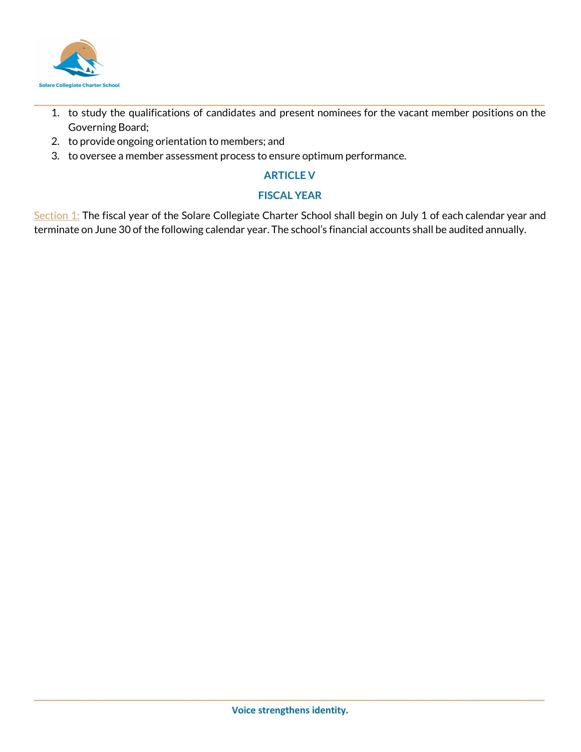

1. to study the qualifications of candidates and present nominees for the vacant member positions on the Governing Board;

**\_\_\_\_\_\_\_\_\_\_\_\_\_\_\_\_\_\_\_\_\_\_\_\_\_\_\_\_\_\_\_\_\_\_\_\_\_\_\_\_\_\_\_\_\_\_\_\_\_\_\_\_\_\_\_\_\_\_\_\_\_\_\_\_\_\_\_\_\_\_\_\_\_\_\_\_\_\_\_\_\_\_\_\_\_\_\_\_**

- 2. to provide ongoing orientation to members; and
- 3. to oversee a member assessment process to ensure optimum performance.

### **ARTICLE V**

## **FISCAL YEAR**

Section 1: The fiscal year of the Solare Collegiate Charter School shall begin on July 1 of each calendar year and terminate on June 30 of the following calendar year. The school's financial accounts shall be audited annually.